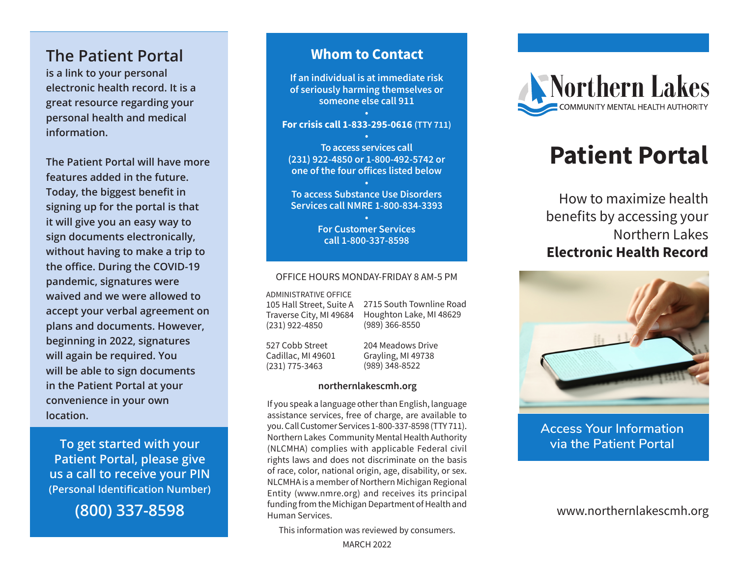## **The Patient Portal**

**is a link to your personal electronic health record. It is a great resource regarding your personal health and medical information.**

**The Patient Portal will have more features added in the future. Today, the biggest benefit in signing up for the portal is that it will give you an easy way to sign documents electronically, without having to make a trip to the office. During the COVID-19 pandemic, signatures were waived and we were allowed to accept your verbal agreement on plans and documents. However, beginning in 2022, signatures will again be required. You will be able to sign documents in the Patient Portal at your convenience in your own location.**

**To get started with your Patient Portal, please give us a call to receive your PIN (Personal Identification Number)** 

**(800) 337-8598**

## **Whom to Contact**

**If an individual is at immediate risk of seriously harming themselves or someone else call 911**

#### **• For crisis call 1-833-295-0616 (TTY 711)**

**• To access services call (231) 922-4850 or 1-800-492-5742 or one of the four offices listed below**

**• To access Substance Use Disorders Services call NMRE 1-800-834-3393**

> **• For Customer Services call 1-800-337-8598**

#### OFFICE HOURS MONDAY-FRIDAY 8 AM-5 PM

ADMINISTRATIVE OFFICE 105 Hall Street, Suite A

Traverse City, MI 49684 (231) 922-4850

2715 South Townline Road Houghton Lake, MI 48629 (989) 366-8550

527 Cobb Street Cadillac, MI 49601 (231) 775-3463

204 Meadows Drive Grayling, MI 49738 (989) 348-8522

#### **northernlakescmh.org**

If you speak a language other than English, language assistance services, free of charge, are available to you. Call Customer Services 1-800-337-8598 (TTY 711). Northern Lakes Community Mental Health Authority (NLCMHA) complies with applicable Federal civil rights laws and does not discriminate on the basis of race, color, national origin, age, disability, or sex. NLCMHA is a member of Northern Michigan Regional Entity (www.nmre.org) and receives its principal funding from the Michigan Department of Health and Human Services.

This information was reviewed by consumers.



# **Patient Portal**

How to maximize health benefits by accessing your Northern Lakes **Electronic Health Record**



**Access Your Information via the Patient Portal**

www.northernlakescmh.org